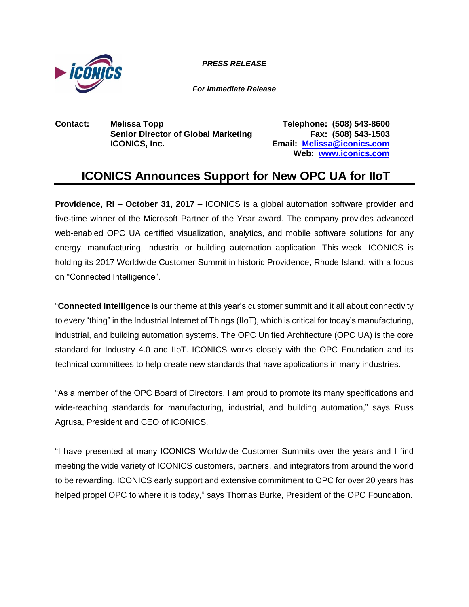

*PRESS RELEASE*

*For Immediate Release*

**Contact: Melissa Topp Telephone: (508) 543-8600 Senior Director of Global Marketing Fax: (508) 543-1503 ICONICS, Inc. Email: [Melissa@iconics.com](mailto:Melissa@iconics.com)**

**Web: [www.iconics.com](http://www.iconics.com/)**

## **ICONICS Announces Support for New OPC UA for IIoT**

**Providence, RI – October 31, 2017 –** ICONICS is a global automation software provider and five-time winner of the Microsoft Partner of the Year award. The company provides advanced web-enabled OPC UA certified visualization, analytics, and mobile software solutions for any energy, manufacturing, industrial or building automation application. This week, ICONICS is holding its 2017 Worldwide Customer Summit in historic Providence, Rhode Island, with a focus on "Connected Intelligence".

"**Connected Intelligence** is our theme at this year's customer summit and it all about connectivity to every "thing" in the Industrial Internet of Things (IIoT), which is critical for today's manufacturing, industrial, and building automation systems. The OPC Unified Architecture (OPC UA) is the core standard for Industry 4.0 and IIoT. ICONICS works closely with the OPC Foundation and its technical committees to help create new standards that have applications in many industries.

"As a member of the OPC Board of Directors, I am proud to promote its many specifications and wide-reaching standards for manufacturing, industrial, and building automation," says Russ Agrusa, President and CEO of ICONICS.

"I have presented at many ICONICS Worldwide Customer Summits over the years and I find meeting the wide variety of ICONICS customers, partners, and integrators from around the world to be rewarding. ICONICS early support and extensive commitment to OPC for over 20 years has helped propel OPC to where it is today," says Thomas Burke, President of the OPC Foundation.